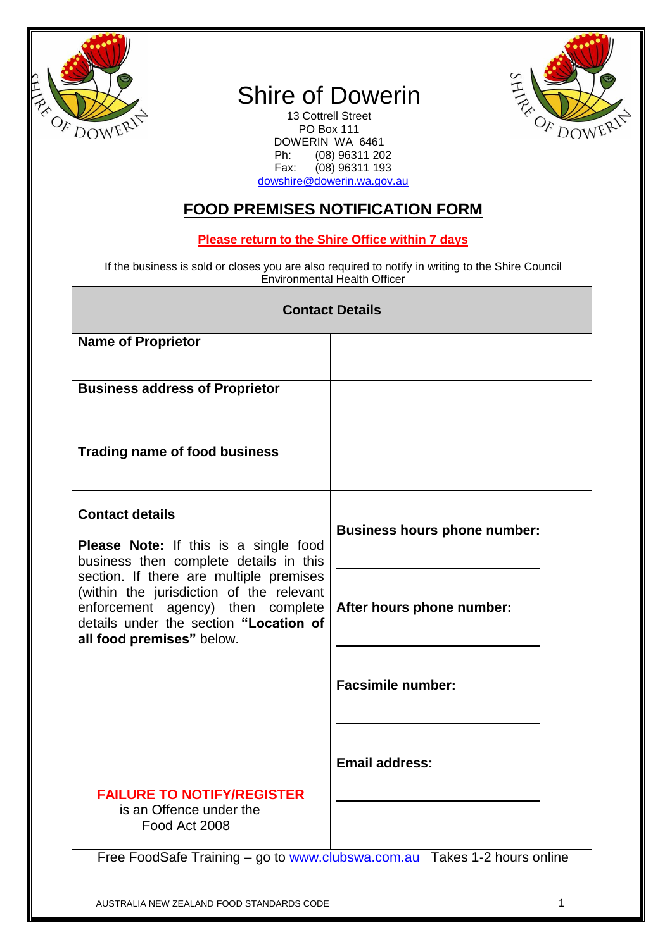

Г

## Shire of Dowerin

13 Cottrell Street PO Box 111 DOWERIN WA 6461<br>Ph: (08) 96311 20 Ph: (08) 96311 202<br>Fax: (08) 96311 193  $(08)$  96311 193 [dowshire@dowerin.wa.gov.au](mailto:dowshire@dowerin.wa.gov.au)



## **FOOD PREMISES NOTIFICATION FORM**

## **Please return to the Shire Office within 7 days**

If the business is sold or closes you are also required to notify in writing to the Shire Council Environmental Health Officer

| <b>Contact Details</b>                                                                                                                                                                                                                                                                                              |                                                                          |  |  |
|---------------------------------------------------------------------------------------------------------------------------------------------------------------------------------------------------------------------------------------------------------------------------------------------------------------------|--------------------------------------------------------------------------|--|--|
| <b>Name of Proprietor</b>                                                                                                                                                                                                                                                                                           |                                                                          |  |  |
| <b>Business address of Proprietor</b>                                                                                                                                                                                                                                                                               |                                                                          |  |  |
| <b>Trading name of food business</b>                                                                                                                                                                                                                                                                                |                                                                          |  |  |
| <b>Contact details</b><br><b>Please Note:</b> If this is a single food<br>business then complete details in this<br>section. If there are multiple premises<br>(within the jurisdiction of the relevant<br>enforcement agency) then complete<br>details under the section "Location of<br>all food premises" below. | <b>Business hours phone number:</b>                                      |  |  |
|                                                                                                                                                                                                                                                                                                                     | After hours phone number:                                                |  |  |
|                                                                                                                                                                                                                                                                                                                     | <b>Facsimile number:</b>                                                 |  |  |
|                                                                                                                                                                                                                                                                                                                     | <b>Email address:</b>                                                    |  |  |
| is an Offence under the<br>Food Act 2008                                                                                                                                                                                                                                                                            |                                                                          |  |  |
| <b>FAILURE TO NOTIFY/REGISTER</b>                                                                                                                                                                                                                                                                                   | Free FoodSafe Training - go to www.clubswa.com.au Takes 1-2 hours online |  |  |

AUSTRALIA NEW ZEALAND FOOD STANDARDS CODE 1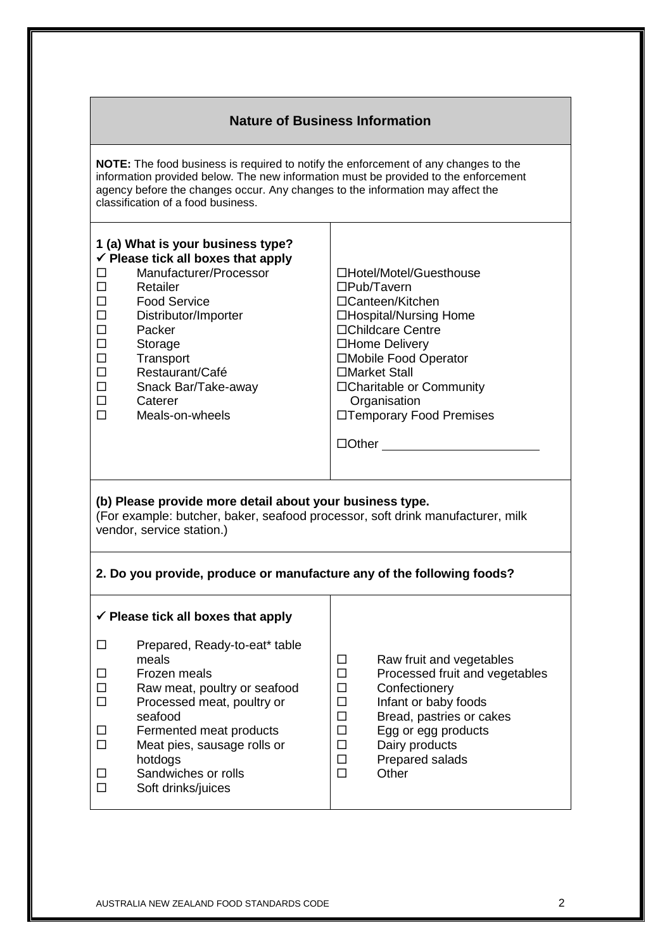| <b>Nature of Business Information</b>                                                                                                                                                                                                                                                                                                                                                                                                                                                                                                                                                                                                                           |                                                                                                                                                                                                                                                   |                                                                    |                                                                                                                                                                                                      |  |  |
|-----------------------------------------------------------------------------------------------------------------------------------------------------------------------------------------------------------------------------------------------------------------------------------------------------------------------------------------------------------------------------------------------------------------------------------------------------------------------------------------------------------------------------------------------------------------------------------------------------------------------------------------------------------------|---------------------------------------------------------------------------------------------------------------------------------------------------------------------------------------------------------------------------------------------------|--------------------------------------------------------------------|------------------------------------------------------------------------------------------------------------------------------------------------------------------------------------------------------|--|--|
| NOTE: The food business is required to notify the enforcement of any changes to the<br>information provided below. The new information must be provided to the enforcement<br>agency before the changes occur. Any changes to the information may affect the<br>classification of a food business.                                                                                                                                                                                                                                                                                                                                                              |                                                                                                                                                                                                                                                   |                                                                    |                                                                                                                                                                                                      |  |  |
| 1 (a) What is your business type?<br>$\checkmark$ Please tick all boxes that apply<br>Manufacturer/Processor<br>□Hotel/Motel/Guesthouse<br>$\Box$<br>Retailer<br>$\square$ Pub/Tavern<br>□<br>П<br><b>Food Service</b><br>□Canteen/Kitchen<br>$\Box$<br>Distributor/Importer<br>□Hospital/Nursing Home<br>$\Box$<br>□Childcare Centre<br>Packer<br>$\Box$<br>□Home Delivery<br>Storage<br>$\Box$<br>Transport<br>□Mobile Food Operator<br>$\Box$<br>□Market Stall<br>Restaurant/Café<br>$\Box$<br>□Charitable or Community<br>Snack Bar/Take-away<br>$\Box$<br>Organisation<br>Caterer<br>$\Box$<br>Meals-on-wheels<br>□Temporary Food Premises<br>$\Box$ Other |                                                                                                                                                                                                                                                   |                                                                    |                                                                                                                                                                                                      |  |  |
| (b) Please provide more detail about your business type.<br>(For example: butcher, baker, seafood processor, soft drink manufacturer, milk<br>vendor, service station.)                                                                                                                                                                                                                                                                                                                                                                                                                                                                                         |                                                                                                                                                                                                                                                   |                                                                    |                                                                                                                                                                                                      |  |  |
| 2. Do you provide, produce or manufacture any of the following foods?                                                                                                                                                                                                                                                                                                                                                                                                                                                                                                                                                                                           |                                                                                                                                                                                                                                                   |                                                                    |                                                                                                                                                                                                      |  |  |
|                                                                                                                                                                                                                                                                                                                                                                                                                                                                                                                                                                                                                                                                 | $\checkmark$ Please tick all boxes that apply                                                                                                                                                                                                     |                                                                    |                                                                                                                                                                                                      |  |  |
| $\Box$<br>□<br>□<br>$\Box$<br>□<br>$\Box$<br>ш<br>п                                                                                                                                                                                                                                                                                                                                                                                                                                                                                                                                                                                                             | Prepared, Ready-to-eat* table<br>meals<br>Frozen meals<br>Raw meat, poultry or seafood<br>Processed meat, poultry or<br>seafood<br>Fermented meat products<br>Meat pies, sausage rolls or<br>hotdogs<br>Sandwiches or rolls<br>Soft drinks/juices | Ш<br>$\Box$<br>□<br>□<br>$\Box$<br>$\Box$<br>$\Box$<br>$\Box$<br>□ | Raw fruit and vegetables<br>Processed fruit and vegetables<br>Confectionery<br>Infant or baby foods<br>Bread, pastries or cakes<br>Egg or egg products<br>Dairy products<br>Prepared salads<br>Other |  |  |